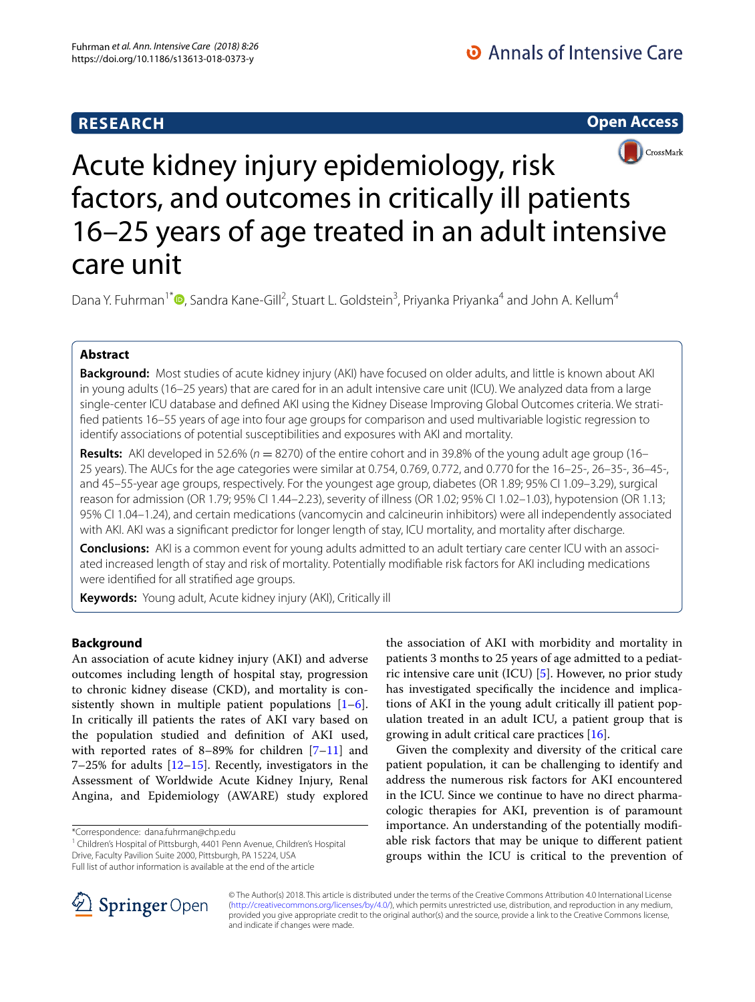## **RESEARCH**

**Open Access**



# Acute kidney injury epidemiology, risk factors, and outcomes in critically ill patients 16–25 years of age treated in an adult intensive care unit

Dana Y. Fuhrman<sup>1\*</sup><sup>®</sup>[,](http://orcid.org/0000-0002-3672-7960) Sandra Kane-Gill<sup>2</sup>, Stuart L. Goldstein<sup>3</sup>, Priyanka Priyanka<sup>4</sup> and John A. Kellum<sup>4</sup>

## **Abstract**

**Background:** Most studies of acute kidney injury (AKI) have focused on older adults, and little is known about AKI in young adults (16–25 years) that are cared for in an adult intensive care unit (ICU). We analyzed data from a large single-center ICU database and defined AKI using the Kidney Disease Improving Global Outcomes criteria. We stratifed patients 16–55 years of age into four age groups for comparison and used multivariable logistic regression to identify associations of potential susceptibilities and exposures with AKI and mortality.

**Results:** AKI developed in 52.6% ( $n = 8270$ ) of the entire cohort and in 39.8% of the young adult age group (16– 25 years). The AUCs for the age categories were similar at 0.754, 0.769, 0.772, and 0.770 for the 16–25-, 26–35-, 36–45-, and 45–55-year age groups, respectively. For the youngest age group, diabetes (OR 1.89; 95% CI 1.09–3.29), surgical reason for admission (OR 1.79; 95% CI 1.44–2.23), severity of illness (OR 1.02; 95% CI 1.02–1.03), hypotension (OR 1.13; 95% CI 1.04–1.24), and certain medications (vancomycin and calcineurin inhibitors) were all independently associated with AKI. AKI was a signifcant predictor for longer length of stay, ICU mortality, and mortality after discharge.

Conclusions: AKI is a common event for young adults admitted to an adult tertiary care center ICU with an associated increased length of stay and risk of mortality. Potentially modifable risk factors for AKI including medications were identifed for all stratifed age groups.

**Keywords:** Young adult, Acute kidney injury (AKI), Critically ill

## **Background**

An association of acute kidney injury (AKI) and adverse outcomes including length of hospital stay, progression to chronic kidney disease (CKD), and mortality is consistently shown in multiple patient populations  $[1-6]$  $[1-6]$ . In critically ill patients the rates of AKI vary based on the population studied and defnition of AKI used, with reported rates of 8–89% for children [[7–](#page-10-0)[11\]](#page-10-1) and 7–25% for adults  $[12–15]$  $[12–15]$ . Recently, investigators in the Assessment of Worldwide Acute Kidney Injury, Renal Angina, and Epidemiology (AWARE) study explored

\*Correspondence: dana.fuhrman@chp.edu

<sup>1</sup> Children's Hospital of Pittsburgh, 4401 Penn Avenue, Children's Hospital Drive, Faculty Pavilion Suite 2000, Pittsburgh, PA 15224, USA Full list of author information is available at the end of the article

the association of AKI with morbidity and mortality in patients 3 months to 25 years of age admitted to a pediatric intensive care unit (ICU) [\[5](#page-9-2)]. However, no prior study has investigated specifcally the incidence and implications of AKI in the young adult critically ill patient population treated in an adult ICU, a patient group that is growing in adult critical care practices [\[16](#page-10-4)].

Given the complexity and diversity of the critical care patient population, it can be challenging to identify and address the numerous risk factors for AKI encountered in the ICU. Since we continue to have no direct pharmacologic therapies for AKI, prevention is of paramount importance. An understanding of the potentially modifable risk factors that may be unique to diferent patient groups within the ICU is critical to the prevention of



© The Author(s) 2018. This article is distributed under the terms of the Creative Commons Attribution 4.0 International License [\(http://creativecommons.org/licenses/by/4.0/\)](http://creativecommons.org/licenses/by/4.0/), which permits unrestricted use, distribution, and reproduction in any medium, provided you give appropriate credit to the original author(s) and the source, provide a link to the Creative Commons license, and indicate if changes were made.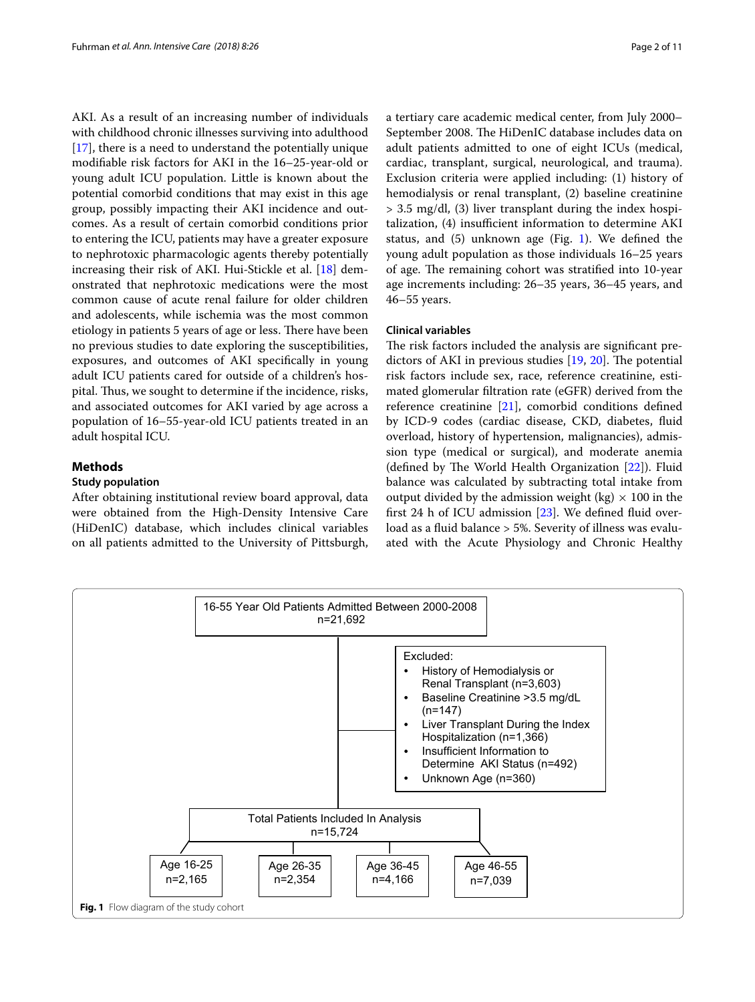AKI. As a result of an increasing number of individuals with childhood chronic illnesses surviving into adulthood [[17\]](#page-10-5), there is a need to understand the potentially unique modifable risk factors for AKI in the 16–25-year-old or young adult ICU population. Little is known about the potential comorbid conditions that may exist in this age group, possibly impacting their AKI incidence and outcomes. As a result of certain comorbid conditions prior to entering the ICU, patients may have a greater exposure to nephrotoxic pharmacologic agents thereby potentially increasing their risk of AKI. Hui-Stickle et al. [[18\]](#page-10-6) demonstrated that nephrotoxic medications were the most common cause of acute renal failure for older children and adolescents, while ischemia was the most common etiology in patients 5 years of age or less. There have been no previous studies to date exploring the susceptibilities, exposures, and outcomes of AKI specifcally in young adult ICU patients cared for outside of a children's hospital. Thus, we sought to determine if the incidence, risks, and associated outcomes for AKI varied by age across a population of 16–55-year-old ICU patients treated in an adult hospital ICU.

## **Methods**

## **Study population**

After obtaining institutional review board approval, data were obtained from the High-Density Intensive Care (HiDenIC) database, which includes clinical variables on all patients admitted to the University of Pittsburgh, a tertiary care academic medical center, from July 2000– September 2008. The HiDenIC database includes data on adult patients admitted to one of eight ICUs (medical, cardiac, transplant, surgical, neurological, and trauma). Exclusion criteria were applied including: (1) history of hemodialysis or renal transplant, (2) baseline creatinine > 3.5 mg/dl, (3) liver transplant during the index hospi $t$ alization,  $(4)$  insufficient information to determine AKI status, and  $(5)$  unknown age (Fig. [1\)](#page-1-0). We defined the young adult population as those individuals 16–25 years of age. The remaining cohort was stratified into 10-year age increments including: 26–35 years, 36–45 years, and 46–55 years.

## **Clinical variables**

The risk factors included the analysis are significant predictors of AKI in previous studies  $[19, 20]$  $[19, 20]$  $[19, 20]$  $[19, 20]$  $[19, 20]$ . The potential risk factors include sex, race, reference creatinine, estimated glomerular fltration rate (eGFR) derived from the reference creatinine [\[21\]](#page-10-9), comorbid conditions defned by ICD-9 codes (cardiac disease, CKD, diabetes, fuid overload, history of hypertension, malignancies), admission type (medical or surgical), and moderate anemia (defined by The World Health Organization  $[22]$  $[22]$  $[22]$ ). Fluid balance was calculated by subtracting total intake from output divided by the admission weight (kg)  $\times$  100 in the frst 24 h of ICU admission [\[23\]](#page-10-11). We defned fuid overload as a fuid balance > 5%. Severity of illness was evaluated with the Acute Physiology and Chronic Healthy

<span id="page-1-0"></span>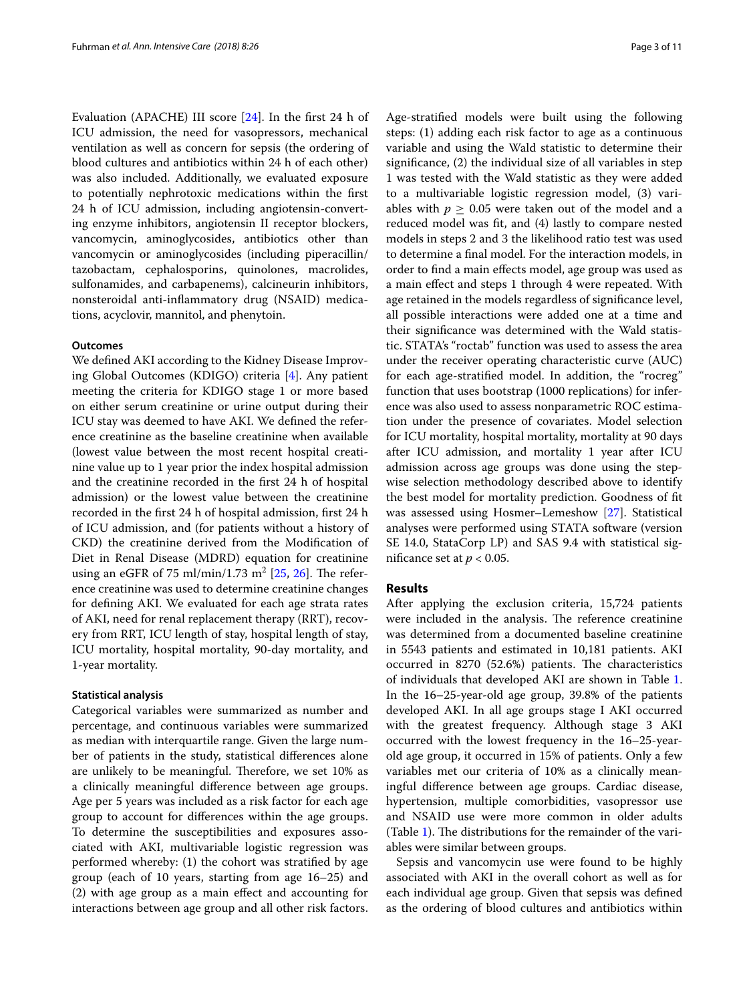Evaluation (APACHE) III score [\[24](#page-10-12)]. In the frst 24 h of ICU admission, the need for vasopressors, mechanical ventilation as well as concern for sepsis (the ordering of blood cultures and antibiotics within 24 h of each other) was also included. Additionally, we evaluated exposure to potentially nephrotoxic medications within the frst 24 h of ICU admission, including angiotensin-converting enzyme inhibitors, angiotensin II receptor blockers, vancomycin, aminoglycosides, antibiotics other than vancomycin or aminoglycosides (including piperacillin/ tazobactam, cephalosporins, quinolones, macrolides, sulfonamides, and carbapenems), calcineurin inhibitors, nonsteroidal anti-infammatory drug (NSAID) medications, acyclovir, mannitol, and phenytoin.

## **Outcomes**

We defned AKI according to the Kidney Disease Improving Global Outcomes (KDIGO) criteria [[4\]](#page-9-3). Any patient meeting the criteria for KDIGO stage 1 or more based on either serum creatinine or urine output during their ICU stay was deemed to have AKI. We defned the reference creatinine as the baseline creatinine when available (lowest value between the most recent hospital creatinine value up to 1 year prior the index hospital admission and the creatinine recorded in the frst 24 h of hospital admission) or the lowest value between the creatinine recorded in the frst 24 h of hospital admission, frst 24 h of ICU admission, and (for patients without a history of CKD) the creatinine derived from the Modifcation of Diet in Renal Disease (MDRD) equation for creatinine using an eGFR of 75 ml/min/1.73 m<sup>2</sup> [\[25](#page-10-13), [26](#page-10-14)]. The reference creatinine was used to determine creatinine changes for defning AKI. We evaluated for each age strata rates of AKI, need for renal replacement therapy (RRT), recovery from RRT, ICU length of stay, hospital length of stay, ICU mortality, hospital mortality, 90-day mortality, and 1-year mortality.

#### **Statistical analysis**

Categorical variables were summarized as number and percentage, and continuous variables were summarized as median with interquartile range. Given the large number of patients in the study, statistical diferences alone are unlikely to be meaningful. Therefore, we set 10% as a clinically meaningful diference between age groups. Age per 5 years was included as a risk factor for each age group to account for diferences within the age groups. To determine the susceptibilities and exposures associated with AKI, multivariable logistic regression was performed whereby: (1) the cohort was stratifed by age group (each of 10 years, starting from age 16–25) and (2) with age group as a main efect and accounting for interactions between age group and all other risk factors. Age-stratifed models were built using the following steps: (1) adding each risk factor to age as a continuous variable and using the Wald statistic to determine their signifcance, (2) the individual size of all variables in step 1 was tested with the Wald statistic as they were added to a multivariable logistic regression model, (3) variables with  $p \geq 0.05$  were taken out of the model and a reduced model was ft, and (4) lastly to compare nested models in steps 2 and 3 the likelihood ratio test was used to determine a fnal model. For the interaction models, in order to fnd a main efects model, age group was used as a main efect and steps 1 through 4 were repeated. With age retained in the models regardless of signifcance level, all possible interactions were added one at a time and their signifcance was determined with the Wald statistic. STATA's "roctab" function was used to assess the area under the receiver operating characteristic curve (AUC) for each age-stratifed model. In addition, the "rocreg" function that uses bootstrap (1000 replications) for inference was also used to assess nonparametric ROC estimation under the presence of covariates. Model selection for ICU mortality, hospital mortality, mortality at 90 days after ICU admission, and mortality 1 year after ICU admission across age groups was done using the stepwise selection methodology described above to identify the best model for mortality prediction. Goodness of ft was assessed using Hosmer–Lemeshow [\[27](#page-10-15)]. Statistical analyses were performed using STATA software (version SE 14.0, StataCorp LP) and SAS 9.4 with statistical significance set at  $p < 0.05$ .

## **Results**

After applying the exclusion criteria, 15,724 patients were included in the analysis. The reference creatinine was determined from a documented baseline creatinine in 5543 patients and estimated in 10,181 patients. AKI occurred in 8270 (52.6%) patients. The characteristics of individuals that developed AKI are shown in Table [1](#page-3-0). In the 16–25-year-old age group, 39.8% of the patients developed AKI. In all age groups stage I AKI occurred with the greatest frequency. Although stage 3 AKI occurred with the lowest frequency in the 16–25-yearold age group, it occurred in 15% of patients. Only a few variables met our criteria of 10% as a clinically meaningful diference between age groups. Cardiac disease, hypertension, multiple comorbidities, vasopressor use and NSAID use were more common in older adults (Table [1\)](#page-3-0). The distributions for the remainder of the variables were similar between groups.

Sepsis and vancomycin use were found to be highly associated with AKI in the overall cohort as well as for each individual age group. Given that sepsis was defned as the ordering of blood cultures and antibiotics within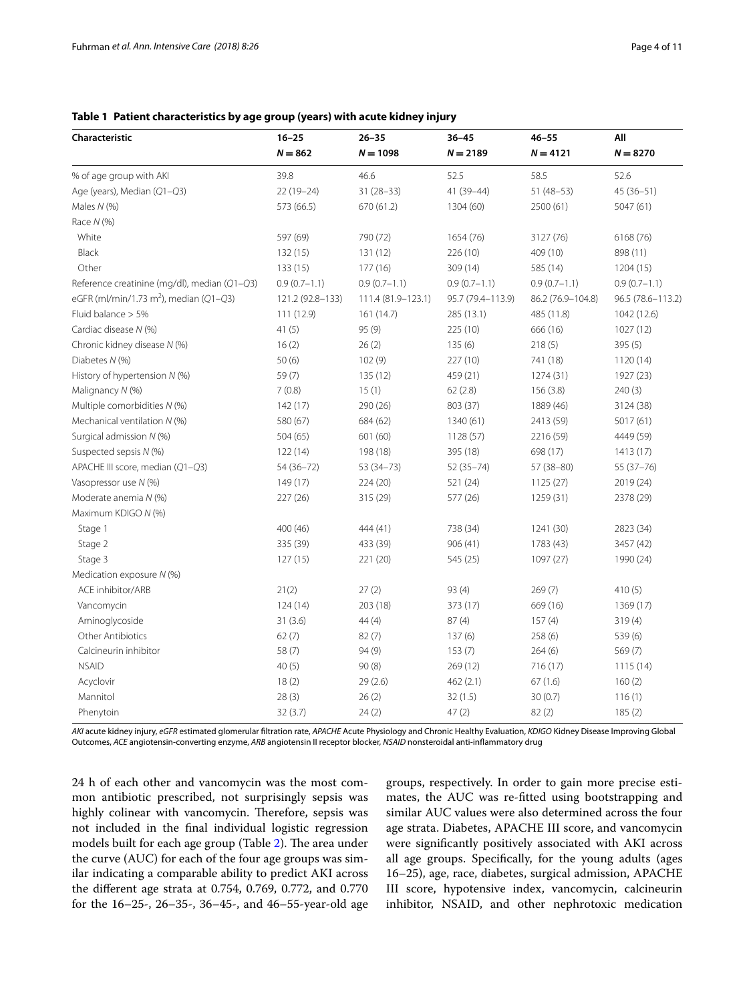## <span id="page-3-0"></span>**Table 1 Patient characteristics by age group (years) with acute kidney injury**

| Characteristic                                     | $16 - 25$        | $26 - 35$          | $36 - 45$         | $46 - 55$         | All               |
|----------------------------------------------------|------------------|--------------------|-------------------|-------------------|-------------------|
|                                                    | $N = 862$        | $N = 1098$         | $N = 2189$        | $N = 4121$        | $N = 8270$        |
| % of age group with AKI                            | 39.8             | 46.6               | 52.5              | 58.5              | 52.6              |
| Age (years), Median (Q1-Q3)                        | $22(19-24)$      | $31(28-33)$        | 41 (39-44)        | $51(48-53)$       | 45 (36-51)        |
| Males $N$ (%)                                      | 573 (66.5)       | 670 (61.2)         | 1304 (60)         | 2500 (61)         | 5047 (61)         |
| Race $N$ (%)                                       |                  |                    |                   |                   |                   |
| White                                              | 597 (69)         | 790 (72)           | 1654 (76)         | 3127 (76)         | 6168 (76)         |
| Black                                              | 132(15)          | 131 (12)           | 226 (10)          | 409 (10)          | 898 (11)          |
| Other                                              | 133 (15)         | 177(16)            | 309 (14)          | 585 (14)          | 1204 (15)         |
| Reference creatinine (mg/dl), median (Q1-Q3)       | $0.9(0.7-1.1)$   | $0.9(0.7-1.1)$     | $0.9(0.7-1.1)$    | $0.9(0.7-1.1)$    | $0.9(0.7-1.1)$    |
| eGFR (ml/min/1.73 m <sup>2</sup> ), median (Q1-Q3) | 121.2 (92.8-133) | 111.4 (81.9-123.1) | 95.7 (79.4-113.9) | 86.2 (76.9-104.8) | 96.5 (78.6-113.2) |
| Fluid balance $> 5\%$                              | 111 (12.9)       | 161 (14.7)         | 285 (13.1)        | 485 (11.8)        | 1042 (12.6)       |
| Cardiac disease N (%)                              | 41(5)            | 95 (9)             | 225 (10)          | 666 (16)          | 1027(12)          |
| Chronic kidney disease N (%)                       | 16(2)            | 26(2)              | 135(6)            | 218(5)            | 395 (5)           |
| Diabetes N (%)                                     | 50(6)            | 102(9)             | 227 (10)          | 741 (18)          | 1120 (14)         |
| History of hypertension N (%)                      | 59(7)            | 135 (12)           | 459 (21)          | 1274 (31)         | 1927 (23)         |
| Malignancy N (%)                                   | 7(0.8)           | 15(1)              | 62(2.8)           | 156(3.8)          | 240(3)            |
| Multiple comorbidities N (%)                       | 142(17)          | 290 (26)           | 803 (37)          | 1889 (46)         | 3124 (38)         |
| Mechanical ventilation N (%)                       | 580 (67)         | 684 (62)           | 1340 (61)         | 2413 (59)         | 5017 (61)         |
| Surgical admission N (%)                           | 504(65)          | 601 (60)           | 1128 (57)         | 2216 (59)         | 4449 (59)         |
| Suspected sepsis N (%)                             | 122(14)          | 198 (18)           | 395 (18)          | 698 (17)          | 1413 (17)         |
| APACHE III score, median (Q1-Q3)                   | 54 (36-72)       | $53(34-73)$        | $52(35 - 74)$     | 57 (38-80)        | $55(37-76)$       |
| Vasopressor use N (%)                              | 149 (17)         | 224 (20)           | 521 (24)          | 1125(27)          | 2019 (24)         |
| Moderate anemia N (%)                              | 227 (26)         | 315 (29)           | 577 (26)          | 1259 (31)         | 2378 (29)         |
| Maximum KDIGO N (%)                                |                  |                    |                   |                   |                   |
| Stage 1                                            | 400 (46)         | 444 (41)           | 738 (34)          | 1241 (30)         | 2823 (34)         |
| Stage 2                                            | 335 (39)         | 433 (39)           | 906(41)           | 1783 (43)         | 3457 (42)         |
| Stage 3                                            | 127(15)          | 221 (20)           | 545 (25)          | 1097 (27)         | 1990 (24)         |
| Medication exposure N (%)                          |                  |                    |                   |                   |                   |
| ACE inhibitor/ARB                                  | 21(2)            | 27(2)              | 93(4)             | 269(7)            | 410(5)            |
| Vancomycin                                         | 124(14)          | 203 (18)           | 373 (17)          | 669 (16)          | 1369 (17)         |
| Aminoglycoside                                     | 31(3.6)          | 44(4)              | 87(4)             | 157(4)            | 319(4)            |
| Other Antibiotics                                  | 62(7)            | 82(7)              | 137(6)            | 258 (6)           | 539 (6)           |
| Calcineurin inhibitor                              | 58(7)            | 94(9)              | 153(7)            | 264(6)            | 569(7)            |
| <b>NSAID</b>                                       | 40(5)            | 90(8)              | 269 (12)          | 716 (17)          | 1115(14)          |
| Acyclovir                                          | 18(2)            | 29(2.6)            | 462(2.1)          | 67(1.6)           | 160(2)            |
| Mannitol                                           | 28(3)            | 26(2)              | 32(1.5)           | 30(0.7)           | 116(1)            |
| Phenytoin                                          | 32(3.7)          | 24(2)              | 47(2)             | 82(2)             | 185(2)            |

*AKI* acute kidney injury, *eGFR* estimated glomerular fltration rate, *APACHE* Acute Physiology and Chronic Healthy Evaluation, *KDIGO* Kidney Disease Improving Global Outcomes, *ACE* angiotensin-converting enzyme, *ARB* angiotensin II receptor blocker, *NSAID* nonsteroidal anti-infammatory drug

24 h of each other and vancomycin was the most common antibiotic prescribed, not surprisingly sepsis was highly colinear with vancomycin. Therefore, sepsis was not included in the fnal individual logistic regression models built for each age group (Table [2](#page-4-0)). The area under the curve (AUC) for each of the four age groups was similar indicating a comparable ability to predict AKI across the diferent age strata at 0.754, 0.769, 0.772, and 0.770 for the 16–25-, 26–35-, 36–45-, and 46–55-year-old age groups, respectively. In order to gain more precise estimates, the AUC was re-ftted using bootstrapping and similar AUC values were also determined across the four age strata. Diabetes, APACHE III score, and vancomycin were signifcantly positively associated with AKI across all age groups. Specifcally, for the young adults (ages 16–25), age, race, diabetes, surgical admission, APACHE III score, hypotensive index, vancomycin, calcineurin inhibitor, NSAID, and other nephrotoxic medication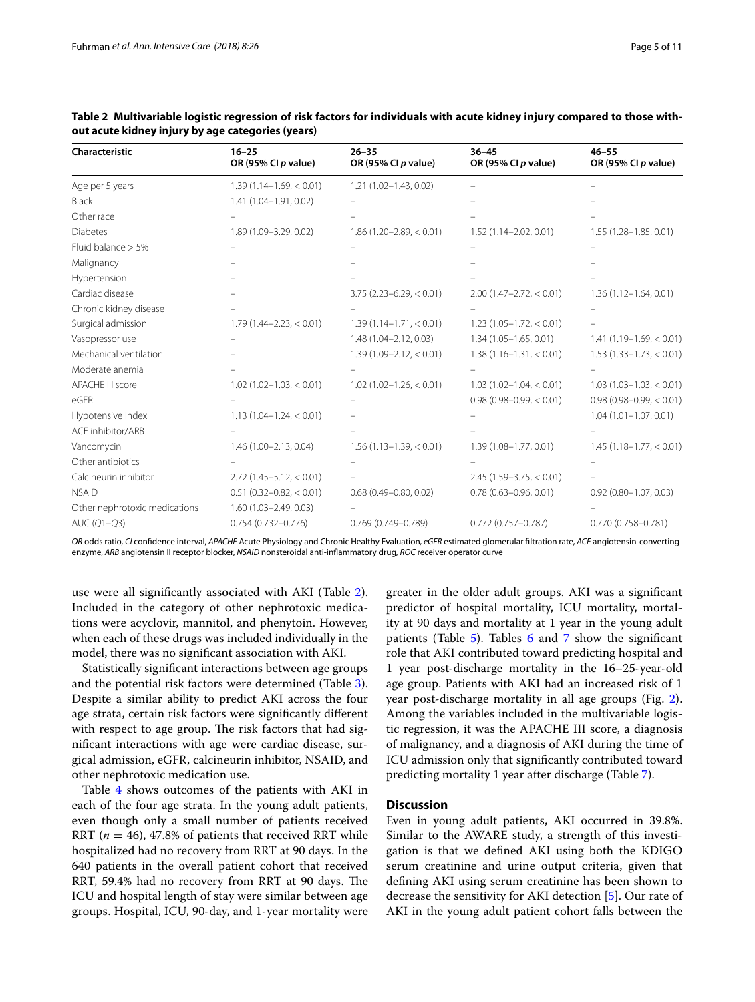| Characteristic                | $16 - 25$<br>OR (95% CI p value) | $26 - 35$<br>OR (95% CI p value) | $36 - 45$<br>OR (95% CI p value) | $46 - 55$<br>OR (95% CI p value) |
|-------------------------------|----------------------------------|----------------------------------|----------------------------------|----------------------------------|
| Age per 5 years               | $1.39(1.14 - 1.69) < 0.01$       | $1.21(1.02 - 1.43, 0.02)$        |                                  |                                  |
| <b>Black</b>                  | 1.41 (1.04-1.91, 0.02)           |                                  |                                  |                                  |
| Other race                    |                                  |                                  |                                  |                                  |
| <b>Diabetes</b>               | 1.89 (1.09-3.29, 0.02)           | $1.86(1.20 - 2.89) < 0.01$       | $1.52(1.14 - 2.02, 0.01)$        | $1.55(1.28 - 1.85, 0.01)$        |
| Fluid balance $> 5\%$         |                                  |                                  |                                  |                                  |
| Malignancy                    |                                  |                                  |                                  |                                  |
| Hypertension                  |                                  |                                  |                                  |                                  |
| Cardiac disease               |                                  | $3.75$ (2.23-6.29, < 0.01)       | $2.00(1.47 - 2.72, < 0.01)$      | $1.36(1.12 - 1.64, 0.01)$        |
| Chronic kidney disease        |                                  |                                  |                                  |                                  |
| Surgical admission            | $1.79(1.44 - 2.23, < 0.01)$      | $1.39(1.14 - 1.71, < 0.01)$      | $1.23(1.05 - 1.72, < 0.01)$      |                                  |
| Vasopressor use               |                                  | 1.48 (1.04-2.12, 0.03)           | $1.34(1.05 - 1.65, 0.01)$        | $1.41(1.19-1.69, < 0.01)$        |
| Mechanical ventilation        |                                  | $1.39(1.09 - 2.12, < 0.01)$      | $1.38(1.16 - 1.31, < 0.01)$      | $1.53(1.33 - 1.73, < 0.01)$      |
| Moderate anemia               |                                  |                                  |                                  |                                  |
| <b>APACHE III score</b>       | $1.02(1.02 - 1.03, < 0.01)$      | $1.02(1.02 - 1.26, < 0.01)$      | $1.03(1.02 - 1.04) < 0.01$       | $1.03(1.03 - 1.03, < 0.01)$      |
| eGFR                          |                                  |                                  | $0.98(0.98 - 0.99) < 0.01$       | $0.98(0.98 - 0.99) < 0.01$       |
| Hypotensive Index             | $1.13(1.04 - 1.24) < 0.01$       |                                  |                                  | $1.04(1.01 - 1.07, 0.01)$        |
| ACE inhibitor/ARB             |                                  |                                  |                                  |                                  |
| Vancomycin                    | $1.46(1.00 - 2.13, 0.04)$        | $1.56(1.13 - 1.39) < 0.01$       | 1.39 (1.08-1.77, 0.01)           | $1.45(1.18 - 1.77, < 0.01)$      |
| Other antibiotics             |                                  |                                  |                                  |                                  |
| Calcineurin inhibitor         | $2.72(1.45 - 5.12, < 0.01)$      |                                  | $2.45(1.59 - 3.75, < 0.01)$      |                                  |
| <b>NSAID</b>                  | $0.51(0.32 - 0.82, < 0.01)$      | $0.68(0.49 - 0.80, 0.02)$        | $0.78(0.63 - 0.96, 0.01)$        | $0.92(0.80 - 1.07, 0.03)$        |
| Other nephrotoxic medications | $1.60(1.03 - 2.49, 0.03)$        |                                  |                                  |                                  |
| AUC (Q1-Q3)                   | $0.754(0.732 - 0.776)$           | $0.769(0.749 - 0.789)$           | $0.772$ (0.757-0.787)            | $0.770(0.758 - 0.781)$           |

<span id="page-4-0"></span>**Table 2 Multivariable logistic regression of risk factors for individuals with acute kidney injury compared to those without acute kidney injury by age categories (years)**

*OR* odds ratio, *CI* confdence interval, *APACHE* Acute Physiology and Chronic Healthy Evaluation*, eGFR* estimated glomerular fltration rate, *ACE* angiotensin-converting enzyme, *ARB* angiotensin II receptor blocker, *NSAID* nonsteroidal anti-infammatory drug, *ROC* receiver operator curve

use were all signifcantly associated with AKI (Table [2](#page-4-0)). Included in the category of other nephrotoxic medications were acyclovir, mannitol, and phenytoin. However, when each of these drugs was included individually in the model, there was no signifcant association with AKI.

Statistically signifcant interactions between age groups and the potential risk factors were determined (Table [3](#page-5-0)). Despite a similar ability to predict AKI across the four age strata, certain risk factors were signifcantly diferent with respect to age group. The risk factors that had signifcant interactions with age were cardiac disease, surgical admission, eGFR, calcineurin inhibitor, NSAID, and other nephrotoxic medication use.

Table [4](#page-5-1) shows outcomes of the patients with AKI in each of the four age strata. In the young adult patients, even though only a small number of patients received RRT ( $n = 46$ ), 47.8% of patients that received RRT while hospitalized had no recovery from RRT at 90 days. In the 640 patients in the overall patient cohort that received RRT, 59.4% had no recovery from RRT at 90 days. The ICU and hospital length of stay were similar between age groups. Hospital, ICU, 90-day, and 1-year mortality were

greater in the older adult groups. AKI was a signifcant predictor of hospital mortality, ICU mortality, mortality at 90 days and mortality at 1 year in the young adult patients (Table [5](#page-5-2)). Tables [6](#page-6-0) and [7](#page-7-0) show the signifcant role that AKI contributed toward predicting hospital and 1 year post-discharge mortality in the 16–25-year-old age group. Patients with AKI had an increased risk of 1 year post-discharge mortality in all age groups (Fig. [2](#page-8-0)). Among the variables included in the multivariable logistic regression, it was the APACHE III score, a diagnosis of malignancy, and a diagnosis of AKI during the time of ICU admission only that signifcantly contributed toward predicting mortality 1 year after discharge (Table [7](#page-7-0)).

## **Discussion**

Even in young adult patients, AKI occurred in 39.8%. Similar to the AWARE study, a strength of this investigation is that we defned AKI using both the KDIGO serum creatinine and urine output criteria, given that defning AKI using serum creatinine has been shown to decrease the sensitivity for AKI detection [[5\]](#page-9-2). Our rate of AKI in the young adult patient cohort falls between the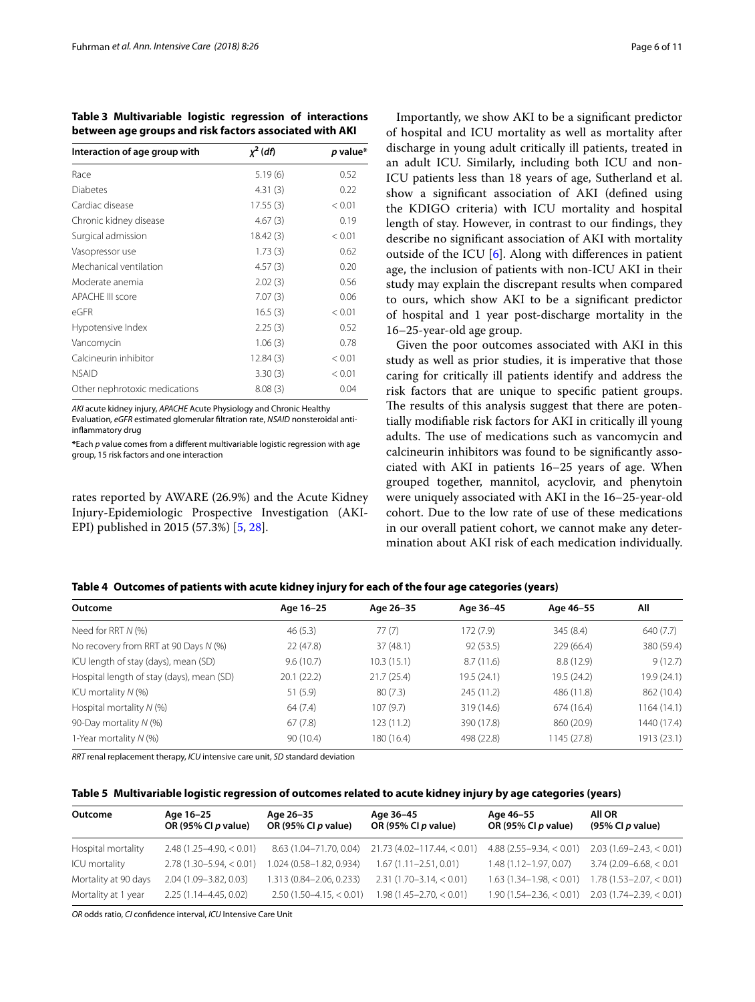<span id="page-5-0"></span>**Table 3 Multivariable logistic regression of interactions between age groups and risk factors associated with AKI**

| Interaction of age group with | $\chi^2$ (df) | p value* |
|-------------------------------|---------------|----------|
| Race                          | 5.19(6)       | 0.52     |
| Diabetes                      | 4.31(3)       | 0.22     |
| Cardiac disease               | 17.55(3)      | < 0.01   |
| Chronic kidney disease        | 4.67(3)       | 0.19     |
| Surgical admission            | 18.42(3)      | < 0.01   |
| Vasopressor use               | 1.73(3)       | 0.62     |
| Mechanical ventilation        | 4.57(3)       | 0.20     |
| Moderate anemia               | 2.02(3)       | 0.56     |
| <b>APACHE III score</b>       | 7.07(3)       | 0.06     |
| $\epsilon$ GFR                | 16.5(3)       | < 0.01   |
| Hypotensive Index             | 2.25(3)       | 0.52     |
| Vancomycin                    | 1.06(3)       | 0.78     |
| Calcineurin inhibitor         | 12.84(3)      | < 0.01   |
| <b>NSAID</b>                  | 3.30(3)       | < 0.01   |
| Other nephrotoxic medications | 8.08(3)       | 0.04     |

*AKI* acute kidney injury, *APACHE* Acute Physiology and Chronic Healthy

Evaluation*, eGFR* estimated glomerular fltration rate, *NSAID* nonsteroidal antiinfammatory drug

**\***Each *p* value comes from a diferent multivariable logistic regression with age group, 15 risk factors and one interaction

rates reported by AWARE (26.9%) and the Acute Kidney Injury-Epidemiologic Prospective Investigation (AKI-EPI) published in 2015 (57.3%) [\[5,](#page-9-2) [28](#page-10-16)].

Importantly, we show AKI to be a signifcant predictor of hospital and ICU mortality as well as mortality after discharge in young adult critically ill patients, treated in an adult ICU. Similarly, including both ICU and non-ICU patients less than 18 years of age, Sutherland et al. show a signifcant association of AKI (defned using the KDIGO criteria) with ICU mortality and hospital length of stay. However, in contrast to our fndings, they describe no signifcant association of AKI with mortality outside of the ICU [[6\]](#page-9-1). Along with diferences in patient age, the inclusion of patients with non-ICU AKI in their study may explain the discrepant results when compared to ours, which show AKI to be a signifcant predictor of hospital and 1 year post-discharge mortality in the 16–25-year-old age group.

Given the poor outcomes associated with AKI in this study as well as prior studies, it is imperative that those caring for critically ill patients identify and address the risk factors that are unique to specifc patient groups. The results of this analysis suggest that there are potentially modifable risk factors for AKI in critically ill young adults. The use of medications such as vancomycin and calcineurin inhibitors was found to be signifcantly associated with AKI in patients 16–25 years of age. When grouped together, mannitol, acyclovir, and phenytoin were uniquely associated with AKI in the 16–25-year-old cohort. Due to the low rate of use of these medications in our overall patient cohort, we cannot make any determination about AKI risk of each medication individually.

<span id="page-5-1"></span>

| Table 4 Outcomes of patients with acute kidney injury for each of the four age categories (years) |  |  |
|---------------------------------------------------------------------------------------------------|--|--|
|                                                                                                   |  |  |

| Outcome                                   | Age 16-25  | Age 26-35  | Age 36-45   | Age 46-55   | All         |
|-------------------------------------------|------------|------------|-------------|-------------|-------------|
| Need for RRT $N$ (%)                      | 46(5.3)    | 77(7)      | 172(7.9)    | 345(8.4)    | 640 (7.7)   |
| No recovery from RRT at 90 Days N (%)     | 22 (47.8)  | 37(48.1)   | 92(53.5)    | 229 (66.4)  | 380 (59.4)  |
| ICU length of stay (days), mean (SD)      | 9.6(10.7)  | 10.3(15.1) | 8.7(11.6)   | 8.8(12.9)   | 9(12.7)     |
| Hospital length of stay (days), mean (SD) | 20.1(22.2) | 21.7(25.4) | 19.5 (24.1) | 19.5 (24.2) | 19.9 (24.1) |
| ICU mortality $N$ (%)                     | 51(5.9)    | 80(7.3)    | 245 (11.2)  | 486 (11.8)  | 862 (10.4)  |
| Hospital mortality $N$ (%)                | 64(7.4)    | 107(9.7)   | 319 (14.6)  | 674 (16.4)  | 1164 (14.1) |
| 90-Day mortality N (%)                    | 67(7.8)    | 123 (11.2) | 390 (17.8)  | 860 (20.9)  | 1440 (17.4) |
| 1-Year mortality N (%)                    | 90(10.4)   | 180 (16.4) | 498 (22.8)  | 1145 (27.8) | 1913 (23.1) |

*RRT* renal replacement therapy, *ICU* intensive care unit, *SD* standard deviation

<span id="page-5-2"></span>**Table 5 Multivariable logistic regression of outcomes related to acute kidney injury by age categories (years)**

| Outcome              | Age 16-25<br>OR (95% CI p value) | Age 26-35<br>OR (95% CI $p$ value) | Age 36-45<br>OR (95% CI p value) | Age 46-55<br>OR (95% CI $p$ value) | AII OR<br>(95% CI p value) |
|----------------------|----------------------------------|------------------------------------|----------------------------------|------------------------------------|----------------------------|
| Hospital mortality   | $2.48(1.25 - 4.90) < 0.01$       | 8.63 (1.04-71.70, 0.04)            | $21.73(4.02 - 117.44) < 0.01$    | $4.88(2.55-9.34, < 0.01)$          | $2.03(1.69 - 2.43) < 0.01$ |
| ICU mortality        | $2.78(1.30 - 5.94) < 0.01$       | 1.024 (0.58-1.82, 0.934)           | $1.67(1.11 - 2.51, 0.01)$        | $1.48(1.12 - 1.97, 0.07)$          | $3.74(2.09 - 6.68) < 0.01$ |
| Mortality at 90 days | 2.04 (1.09 - 3.82, 0.03)         | 1.313 (0.84-2.06, 0.233)           | $2.31(1.70-3.14) < 0.01$         | $1.63(1.34 - 1.98) < 0.01$         | $1.78(1.53 - 2.07) < 0.01$ |
| Mortality at 1 year  | 2.25 (1.14-4.45, 0.02)           | $2.50(1.50-4.15, < 0.01)$          | $1.98(1.45 - 2.70) < 0.01$       | $1.90(1.54 - 2.36) < 0.01$         | $2.03(1.74 - 2.39) < 0.01$ |

*OR* odds ratio, *CI* confdence interval, *ICU* Intensive Care Unit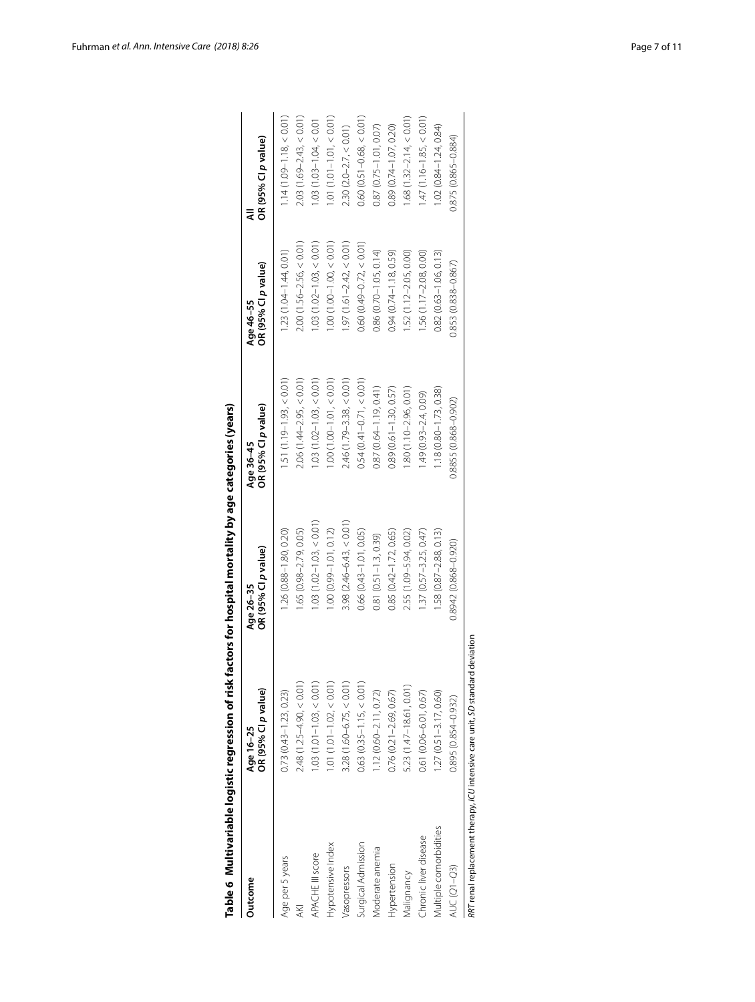|                        |                                                                               | Table 6  Multivariable logistic regression of risk factors for hospital mortality by age categories (years) |                                  |                                  |                                  |
|------------------------|-------------------------------------------------------------------------------|-------------------------------------------------------------------------------------------------------------|----------------------------------|----------------------------------|----------------------------------|
| Outcome                | OR (95% CI p value)<br>Age 16-25                                              | OR (95% CI p value)<br>Age 26-35                                                                            | OR (95% CI p value)<br>Age 36-45 | OR (95% CI p value)<br>Age 46-55 | OR (95% Cl p value)<br>₹         |
| Age per 5 years        | $0.73(0.43 - 1.23, 0.23)$                                                     | 1.26 (0.88-1.80, 0.20)                                                                                      | $1.51(1.19 - 1.93, < 0.01)$      | $1.23(1.04 - 1.44, 0.01)$        | $1.14(1.09 - 1.18, < 0.01)$      |
| AKI                    | $2.48(1.25 - 4.90, < 0.01$                                                    | 1.65 (0.98-2.79, 0.05)                                                                                      | $2.06(1.44 - 2.95, < 0.01)$      | $2.00(1.56 - 2.56, < 0.01)$      | $2.03(1.69 - 2.43, < 0.01)$      |
| APACHE III score       | $1.03(1.01 - 1.03, < 0.01$                                                    | $1.03(1.02 - 1.03, < 0.01)$                                                                                 | $1.03(1.02 - 1.03, < 0.01)$      | $.03(1.02 - 1.03, < 0.01)$       | $1.03(1.03 - 1.04, < 0.01$       |
| Hypotensive Index      | $1.01(1.01 - 1.02, < 0.01$                                                    | $1.00(0.99 - 1.01, 0.12)$                                                                                   | $1.00(1.00 - 1.01 < 0.01)$       | $.00(1.00 - 1.00, < 0.01)$       | $1.01(1.01 - 1.01, < 0.01)$      |
| Vasopressors           | $3.28$ (1.60-6.75, $<$ 0.01                                                   | $3.98(2.46 - 6.43, < 0.01)$                                                                                 | $2.46(1.79 - 3.38, < 0.01)$      | $.97(1.61 - 2.42, < 0.01)$       | $2.30(2.0 - 2.7, < 0.01)$        |
| Surgical Admission     | $0.63$ $(0.35 - 1.15, < 0.01)$                                                | $0.66(0.43 - 1.01, 0.05)$                                                                                   | $0.54(0.41 - 0.71, < 0.01)$      | $0.60(0.49 - 0.72, < 0.01)$      | $0.60$ ( $0.51 - 0.68$ , < 0.01) |
| Moderate anemia        | $1.12(0.60 - 2.11, 0.72)$                                                     | $0.81(0.51 - 1.3, 0.39)$                                                                                    | $0.87(0.64 - 1.19, 0.41)$        | $0.86(0.70 - 1.05, 0.14)$        | $0.87(0.75 - 1.01, 0.07)$        |
| Hypertension           | $0.76$ $(0.21 - 2.69, 0.67)$                                                  | $0.85(0.42 - 1.72, 0.65)$                                                                                   | $0.89(0.61 - 1.30, 0.57)$        | $0.94(0.74 - 1.18, 0.59)$        | $0.89(0.74 - 1.07, 0.20)$        |
| Valignancy             | 5.23 (1.47-18.61, 0.01)                                                       | 2.55 (1.09-5.94, 0.02)                                                                                      | 1.80 (1.10-2.96, 0.01)           | 1.52 (1.12-2.05, 0.00)           | $1.68(1.32 - 2.14, < 0.01)$      |
| Chronic liver disease  | $0.61(0.06 - 6.01, 0.67)$                                                     | $1.37(0.57 - 3.25, 0.47)$                                                                                   | $1.49(0.93 - 2.4, 0.09)$         | 56 (1.17-2.08, 0.00)             | $1.47(1.16 - 1.85, < 0.01)$      |
| Multiple comorbidities | $1.27(0.51 - 3.17, 0.60)$                                                     | $1.58(0.87 - 2.88, 0.13)$                                                                                   | $1.18(0.80 - 1.73, 0.38)$        | $0.82(0.63 - 1.06, 0.13)$        | $1.02(0.84 - 1.24, 0.84)$        |
| <b>AUC (Q1-Q3)</b>     | 0.895 (0.854-0.932)                                                           | 0.8942 (0.868-0.920)                                                                                        | 0.8855 (0.868-0.902)             | 0.853 (0.838-0.867)              | 0.875 (0.865-0.884)              |
|                        | RRT renal replacement therapy, ICU intensive care unit, SD standard deviation |                                                                                                             |                                  |                                  |                                  |

<span id="page-6-0"></span>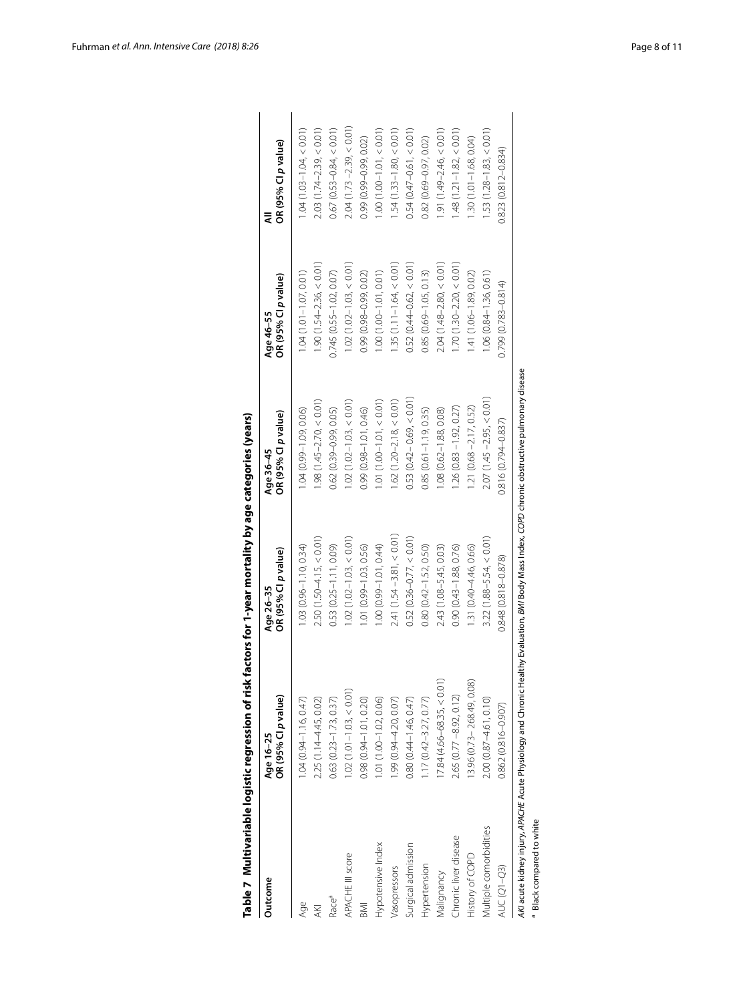|                                      | Table 7 Multivariable logistic regression of risk                                                                                                | factors for 1-year mortality by age categories (years) |                                  |                                  |                             |
|--------------------------------------|--------------------------------------------------------------------------------------------------------------------------------------------------|--------------------------------------------------------|----------------------------------|----------------------------------|-----------------------------|
| Outcome                              | Age 16-25<br>OR (95% Cl p value)                                                                                                                 | OR (95% Cl p value)<br>Age 26-35                       | OR (95% CI p value)<br>Age 36-45 | OR (95% Cl p value)<br>Age 46-55 | OR (95% Cl p value)         |
| Age                                  | $1.04(0.94 - 1.16, 0.47)$                                                                                                                        | $1.03(0.96 - 1.10, 0.34)$                              | $1.04(0.99 - 1.09, 0.06)$        | $1.04(1.01 - 1.07, 0.01)$        | $1.04(1.03 - 1.04, < 0.01)$ |
| AKI                                  | 2.25 (1.14-4.45, 0.02)                                                                                                                           | $2.50(1.50 - 4.15, < 0.01)$                            | $1.98(1.45 - 2.70, < 0.01)$      | $1.90(1.54 - 2.36, < 0.01)$      | $2.03(1.74 - 2.39, < 0.01)$ |
| Race <sup>a</sup>                    | $0.63(0.23 - 1.73, 0.37)$                                                                                                                        | $0.53(0.25 - 1.11, 0.09)$                              | $0.62(0.39 - 0.99, 0.05)$        | 0.745 (0.55-1.02, 0.07)          | $0.67(0.53 - 0.84, < 0.01)$ |
| APACHE III score                     | $1.02(1.01 - 1.03, < 0.01)$                                                                                                                      | $1.02(1.02 - 1.03, < 0.01)$                            | $1.02(1.02 - 1.03, < 0.01)$      | $1.02(1.02 - 1.03, < 0.01)$      | $2.04(1.73 - 2.39, < 0.01)$ |
| <b>MS</b>                            | $0.98(0.94 - 1.01, 0.20)$                                                                                                                        | 1.01 (0.99-1.03, 0.56)                                 | $0.99(0.98 - 1.01, 0.46)$        | 0.99 (0.98-0.99, 0.02)           | 0.99 (0.99-0.99, 0.02)      |
| Hypotensive Index                    | 1.01 (1.00-1.02, 0.06)                                                                                                                           | 1.00 (0.99-1.01, 0.44)                                 | $1.01(1.00 - 1.01, < 0.01)$      | $1.00(1.00 - 1.01, 0.01)$        | $1.00(1.00 - 1.01 < 0.01)$  |
| Vasopressors                         | 1.99 (0.94-4.20, 0.07)                                                                                                                           | $2.41(1.54 - 3.81, < 0.01)$                            | $1.62(1.20 - 2.18, < 0.01)$      | $1.35(1.11 - 1.64, < 0.01)$      | $.54(1.33 - 1.80, < 0.01)$  |
| Surgical admission                   | $0.80(0.44 - 1.46, 0.47)$                                                                                                                        | $0.52(0.36 - 0.77, < 0.01)$                            | $0.53(0.42 - 0.69, < 0.01)$      | $0.52(0.44 - 0.62, < 0.01)$      | $0.54(0.47 - 0.61, < 0.01)$ |
| Hypertension                         | $.17(0.42 - 3.27, 0.77)$                                                                                                                         | $0.80(0.42 - 1.52, 0.50)$                              | $0.85(0.61 - 1.19, 0.35)$        | $0.85(0.69 - 1.05, 0.13)$        | $0.82(0.69 - 0.97, 0.02)$   |
| Malignancy                           | $17.84(4.66 - 68.35, < 0.01)$                                                                                                                    | 2.43 (1.08-5.45, 0.03)                                 | $1.08(0.62 - 1.88, 0.08)$        | $2.04(1.48 - 2.80, < 0.01)$      | $.91(1.49 - 2.46, < 0.01)$  |
| Chronic liver disease                | $2.65(0.77 - 8.92, 0.12)$                                                                                                                        | $0.90(0.43 - 1.88, 0.76)$                              | $1.26(0.83 - 1.92, 0.27)$        | $1.70(1.30-2.20, <0.01)$         | $1.48(1.21 - 1.82, < 0.01)$ |
| History of COPD                      | 13.96 (0.73 - 268.49, 0.08)                                                                                                                      | 1.31 (0.40-4.46, 0.66)                                 | $1.21(0.68 - 2.17, 0.52)$        | 1.41 (1.06-1.89, 0.02)           | $.30(1.01 - 1.68, 0.04)$    |
| Multiple comorbidities               | 2.00 (0.87 - 4.61, 0.10)                                                                                                                         | $3.22(1.88 - 5.54, < 0.01)$                            | $2.07(1.45 - 2.95, < 0.01)$      | 1.06 (0.84-1.36, 0.61)           | $1.53(1.28 - 1.83, < 0.01)$ |
| AUC (Q1-Q3)                          | $0.862(0.816 - 0.907)$                                                                                                                           | 0.848 (0.818-0.878)                                    | 0.816 (0.794-0.837)              | 0.799 (0.783-0.814)              | $0.823(0.812 - 0.834)$      |
|                                      | AKI acute kidney injury, APACHE Acute Physiology and Chronic Healthy Evaluation, 8MI Body Mass Index, COPD chronic obstructive pulmonary disease |                                                        |                                  |                                  |                             |
| <sup>a</sup> Black compared to white |                                                                                                                                                  |                                                        |                                  |                                  |                             |

<span id="page-7-0"></span>

|      | l |
|------|---|
|      |   |
|      |   |
|      |   |
|      |   |
|      |   |
|      |   |
|      |   |
|      |   |
|      |   |
|      |   |
|      |   |
|      |   |
|      |   |
|      |   |
|      |   |
|      |   |
|      |   |
|      |   |
|      |   |
|      |   |
|      |   |
|      |   |
|      |   |
| ֚֚֚֬ |   |
|      |   |
|      |   |
|      | í |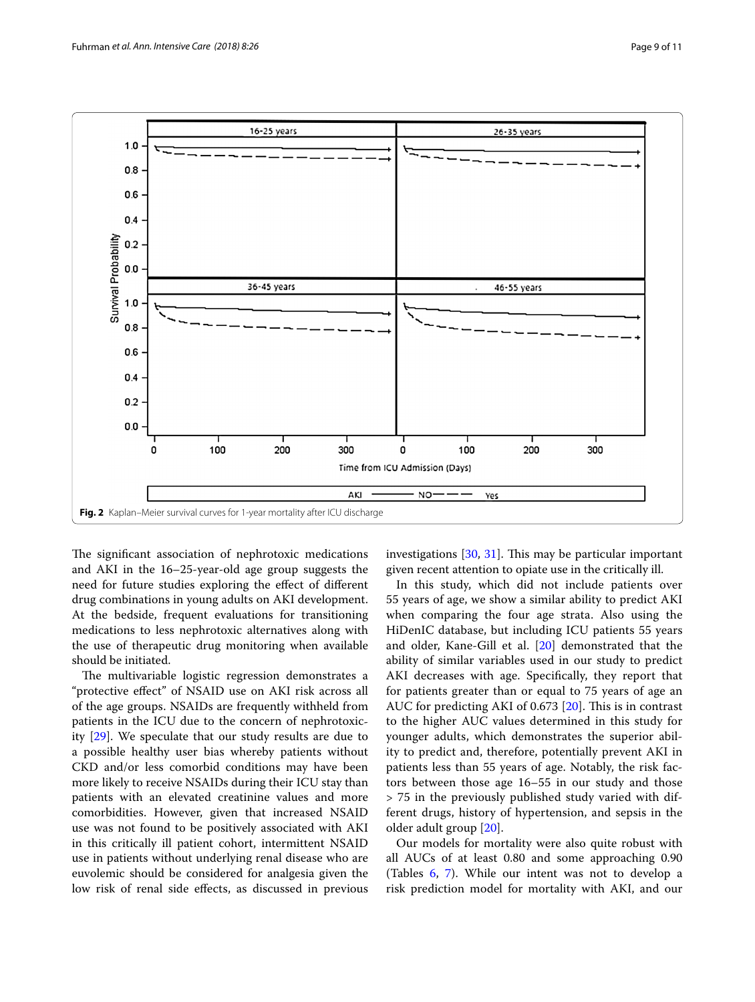

<span id="page-8-0"></span>The significant association of nephrotoxic medications and AKI in the 16–25-year-old age group suggests the need for future studies exploring the efect of diferent drug combinations in young adults on AKI development. At the bedside, frequent evaluations for transitioning medications to less nephrotoxic alternatives along with the use of therapeutic drug monitoring when available should be initiated.

The multivariable logistic regression demonstrates a "protective efect" of NSAID use on AKI risk across all of the age groups. NSAIDs are frequently withheld from patients in the ICU due to the concern of nephrotoxicity [\[29\]](#page-10-17). We speculate that our study results are due to a possible healthy user bias whereby patients without CKD and/or less comorbid conditions may have been more likely to receive NSAIDs during their ICU stay than patients with an elevated creatinine values and more comorbidities. However, given that increased NSAID use was not found to be positively associated with AKI in this critically ill patient cohort, intermittent NSAID use in patients without underlying renal disease who are euvolemic should be considered for analgesia given the low risk of renal side efects, as discussed in previous investigations  $[30, 31]$  $[30, 31]$  $[30, 31]$  $[30, 31]$ . This may be particular important given recent attention to opiate use in the critically ill.

In this study, which did not include patients over 55 years of age, we show a similar ability to predict AKI when comparing the four age strata. Also using the HiDenIC database, but including ICU patients 55 years and older, Kane-Gill et al. [\[20](#page-10-8)] demonstrated that the ability of similar variables used in our study to predict AKI decreases with age. Specifcally, they report that for patients greater than or equal to 75 years of age an AUC for predicting AKI of 0.673  $[20]$  $[20]$ . This is in contrast to the higher AUC values determined in this study for younger adults, which demonstrates the superior ability to predict and, therefore, potentially prevent AKI in patients less than 55 years of age. Notably, the risk factors between those age 16–55 in our study and those > 75 in the previously published study varied with different drugs, history of hypertension, and sepsis in the older adult group [\[20](#page-10-8)].

Our models for mortality were also quite robust with all AUCs of at least 0.80 and some approaching 0.90 (Tables [6](#page-6-0), [7](#page-7-0)). While our intent was not to develop a risk prediction model for mortality with AKI, and our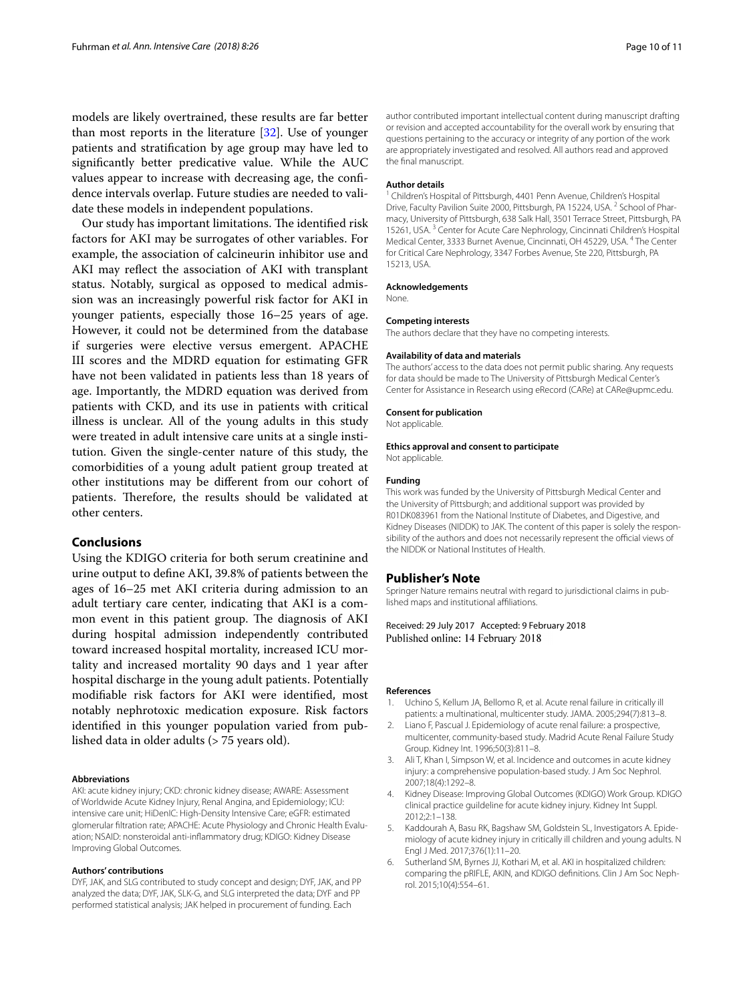models are likely overtrained, these results are far better than most reports in the literature [\[32\]](#page-10-20). Use of younger patients and stratifcation by age group may have led to signifcantly better predicative value. While the AUC values appear to increase with decreasing age, the confdence intervals overlap. Future studies are needed to validate these models in independent populations.

Our study has important limitations. The identified risk factors for AKI may be surrogates of other variables. For example, the association of calcineurin inhibitor use and AKI may refect the association of AKI with transplant status. Notably, surgical as opposed to medical admission was an increasingly powerful risk factor for AKI in younger patients, especially those 16–25 years of age. However, it could not be determined from the database if surgeries were elective versus emergent. APACHE III scores and the MDRD equation for estimating GFR have not been validated in patients less than 18 years of age. Importantly, the MDRD equation was derived from patients with CKD, and its use in patients with critical illness is unclear. All of the young adults in this study were treated in adult intensive care units at a single institution. Given the single-center nature of this study, the comorbidities of a young adult patient group treated at other institutions may be diferent from our cohort of patients. Therefore, the results should be validated at other centers.

## **Conclusions**

Using the KDIGO criteria for both serum creatinine and urine output to defne AKI, 39.8% of patients between the ages of 16–25 met AKI criteria during admission to an adult tertiary care center, indicating that AKI is a common event in this patient group. The diagnosis of AKI during hospital admission independently contributed toward increased hospital mortality, increased ICU mortality and increased mortality 90 days and 1 year after hospital discharge in the young adult patients. Potentially modifable risk factors for AKI were identifed, most notably nephrotoxic medication exposure. Risk factors identifed in this younger population varied from published data in older adults (> 75 years old).

#### **Abbreviations**

AKI: acute kidney injury; CKD: chronic kidney disease; AWARE: Assessment of Worldwide Acute Kidney Injury, Renal Angina, and Epidemiology; ICU: intensive care unit; HiDenIC: High-Density Intensive Care; eGFR: estimated glomerular filtration rate; APACHE: Acute Physiology and Chronic Health Evaluation; NSAID: nonsteroidal anti-infammatory drug; KDIGO: Kidney Disease Improving Global Outcomes.

#### **Authors' contributions**

DYF, JAK, and SLG contributed to study concept and design; DYF, JAK, and PP analyzed the data; DYF, JAK, SLK-G, and SLG interpreted the data; DYF and PP performed statistical analysis; JAK helped in procurement of funding. Each

author contributed important intellectual content during manuscript drafting or revision and accepted accountability for the overall work by ensuring that questions pertaining to the accuracy or integrity of any portion of the work are appropriately investigated and resolved. All authors read and approved the fnal manuscript.

#### **Author details**

<sup>1</sup> Children's Hospital of Pittsburgh, 4401 Penn Avenue, Children's Hospital Drive, Faculty Pavilion Suite 2000, Pittsburgh, PA 15224, USA. <sup>2</sup> School of Pharmacy, University of Pittsburgh, 638 Salk Hall, 3501 Terrace Street, Pittsburgh, PA 15261, USA.<sup>3</sup> Center for Acute Care Nephrology, Cincinnati Children's Hospital Medical Center, 3333 Burnet Avenue, Cincinnati, OH 45229, USA. 4 The Center for Critical Care Nephrology, 3347 Forbes Avenue, Ste 220, Pittsburgh, PA 15213, USA.

#### **Acknowledgements**

None.

#### **Competing interests**

The authors declare that they have no competing interests.

#### **Availability of data and materials**

The authors' access to the data does not permit public sharing. Any requests for data should be made to The University of Pittsburgh Medical Center's Center for Assistance in Research using eRecord (CARe) at CARe@upmc.edu.

#### **Consent for publication**

Not applicable.

#### **Ethics approval and consent to participate**

Not applicable.

#### **Funding**

This work was funded by the University of Pittsburgh Medical Center and the University of Pittsburgh; and additional support was provided by R01DK083961 from the National Institute of Diabetes, and Digestive, and Kidney Diseases (NIDDK) to JAK. The content of this paper is solely the responsibility of the authors and does not necessarily represent the official views of the NIDDK or National Institutes of Health.

#### **Publisher's Note**

Springer Nature remains neutral with regard to jurisdictional claims in published maps and institutional afliations.

Received: 29 July 2017 Accepted: 9 February 2018 Published online: 14 February 2018

#### **References**

- <span id="page-9-0"></span>1. Uchino S, Kellum JA, Bellomo R, et al. Acute renal failure in critically ill patients: a multinational, multicenter study. JAMA. 2005;294(7):813–8.
- 2. Liano F, Pascual J. Epidemiology of acute renal failure: a prospective, multicenter, community-based study. Madrid Acute Renal Failure Study Group. Kidney Int. 1996;50(3):811–8.
- 3. Ali T, Khan I, Simpson W, et al. Incidence and outcomes in acute kidney injury: a comprehensive population-based study. J Am Soc Nephrol. 2007;18(4):1292–8.
- <span id="page-9-3"></span>4. Kidney Disease: Improving Global Outcomes (KDIGO) Work Group. KDIGO clinical practice guildeline for acute kidney injury. Kidney Int Suppl. 2012;2:1–138.
- <span id="page-9-2"></span>Kaddourah A, Basu RK, Bagshaw SM, Goldstein SL, Investigators A. Epidemiology of acute kidney injury in critically ill children and young adults. N Engl J Med. 2017;376(1):11–20.
- <span id="page-9-1"></span>6. Sutherland SM, Byrnes JJ, Kothari M, et al. AKI in hospitalized children: comparing the pRIFLE, AKIN, and KDIGO definitions. Clin J Am Soc Nephrol. 2015;10(4):554–61.